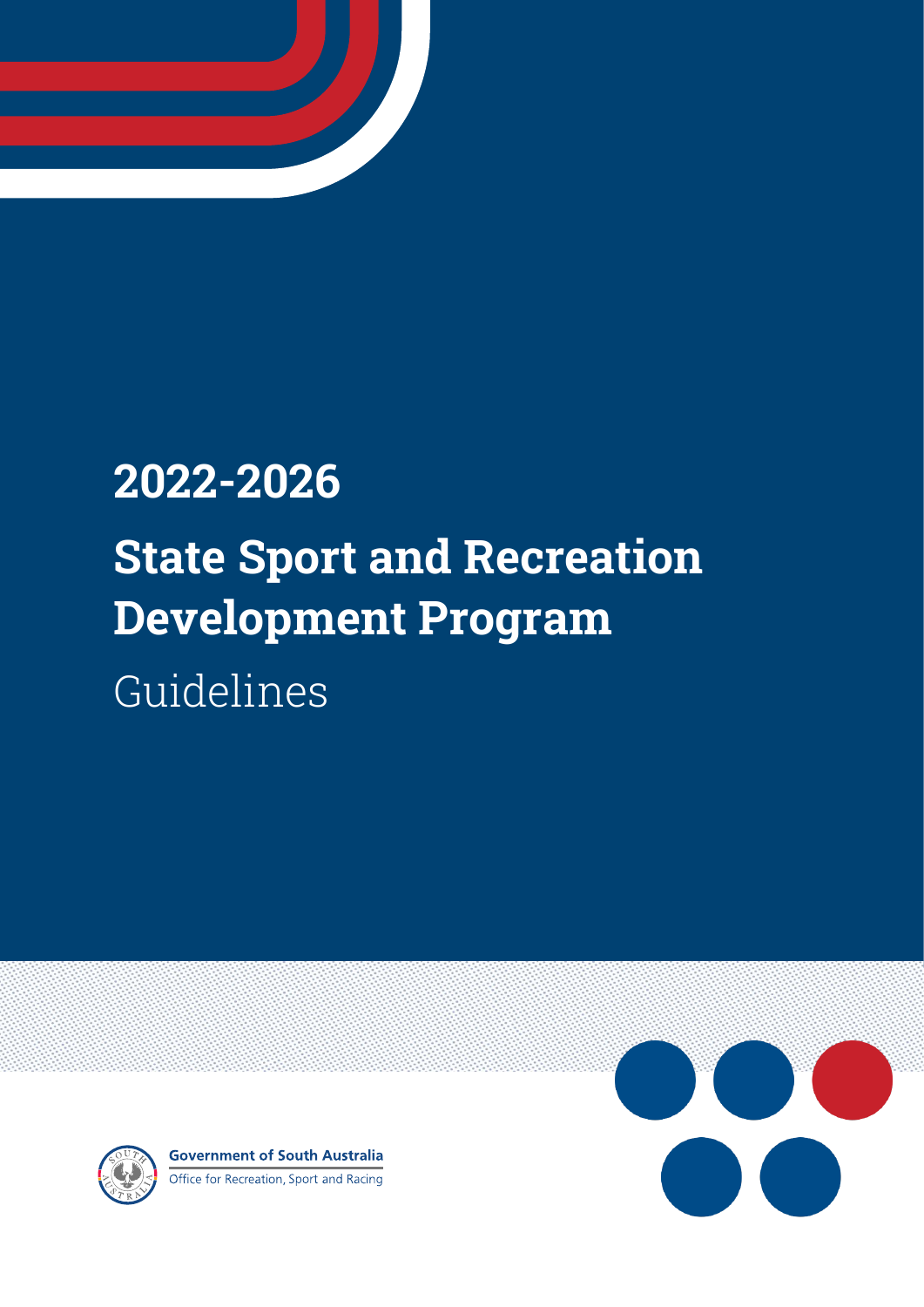

# **2022-2026 State Sport and Recreation Development Program**  Guidelines





**Government of South Australia** Office for Recreation, Sport and Racing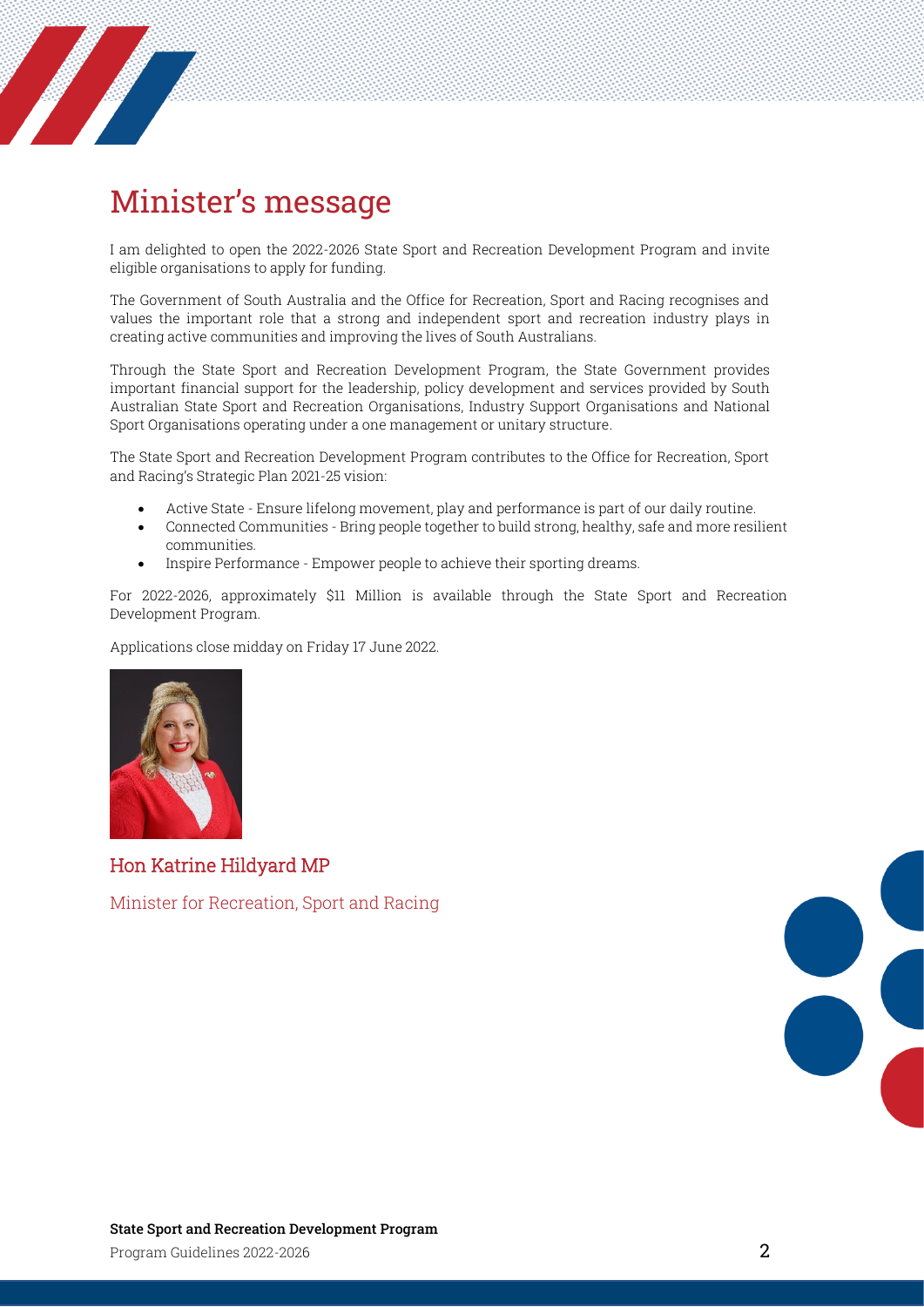

# <span id="page-1-0"></span>Minister's message

I am delighted to open the 2022-2026 State Sport and Recreation Development Program and invite eligible organisations to apply for funding.

The Government of South Australia and the Office for Recreation, Sport and Racing recognises and values the important role that a strong and independent sport and recreation industry plays in creating active communities and improving the lives of South Australians.

Through the State Sport and Recreation Development Program, the State Government provides important financial support for the leadership, policy development and services provided by South Australian State Sport and Recreation Organisations, Industry Support Organisations and National Sport Organisations operating under a one management or unitary structure.

The State Sport and Recreation Development Program contributes to the Office for Recreation, Sport and Racing's Strategic Plan 2021-25 vision:

- Active State Ensure lifelong movement, play and performance is part of our daily routine.
- Connected Communities Bring people together to build strong, healthy, safe and more resilient communities.
- Inspire Performance Empower people to achieve their sporting dreams.

For 2022-2026, approximately \$11 Million is available through the State Sport and Recreation Development Program.

Applications close midday on Friday 17 June 2022.



Hon Katrine Hildyard MP

Minister for Recreation, Sport and Racing

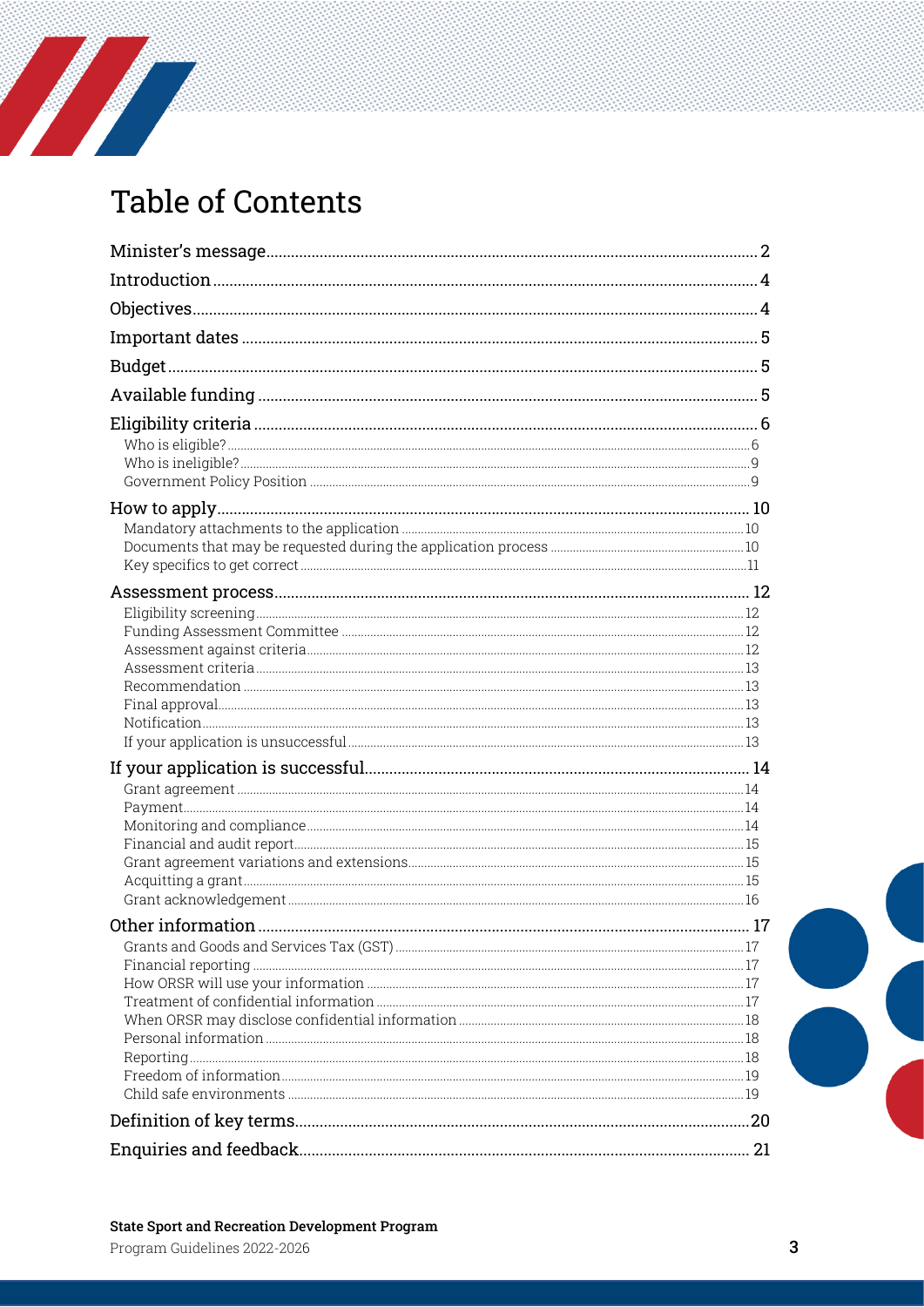# **Table of Contents**

a de de la desemblecidad de la desemblecidad de la contradición de la contradición de la contradición de la co<br>En el caso de la contradición de la contradición de la contradición de la contradición de la contradición de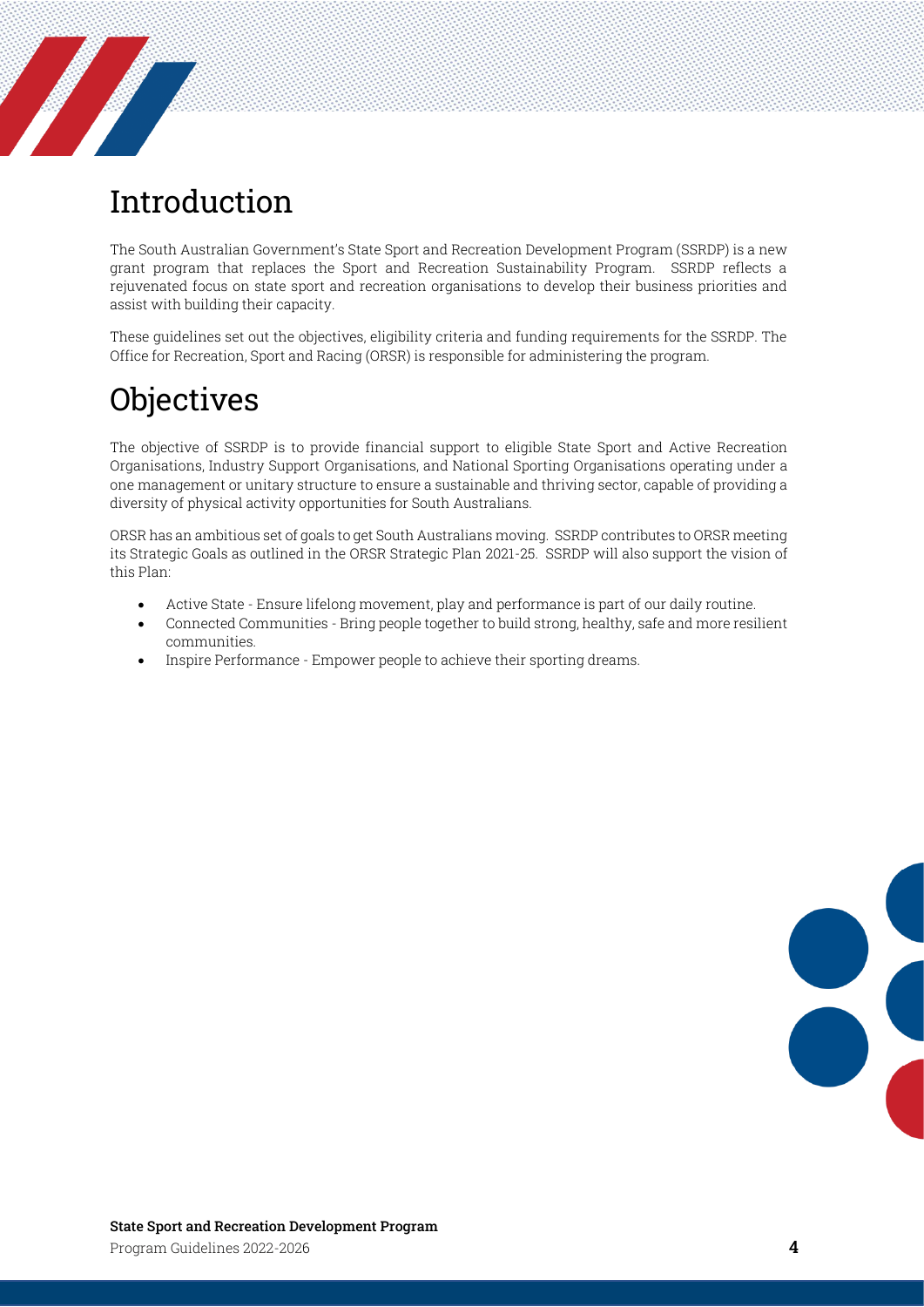# <span id="page-3-0"></span>Introduction

**Service Service Service** 

The South Australian Government's State Sport and Recreation Development Program (SSRDP) is a new grant program that replaces the Sport and Recreation Sustainability Program. SSRDP reflects a rejuvenated focus on state sport and recreation organisations to develop their business priorities and assist with building their capacity.

These guidelines set out the objectives, eligibility criteria and funding requirements for the SSRDP. The Office for Recreation, Sport and Racing (ORSR) is responsible for administering the program.

# <span id="page-3-1"></span>**Objectives**

The objective of SSRDP is to provide financial support to eligible State Sport and Active Recreation Organisations, Industry Support Organisations, and National Sporting Organisations operating under a one management or unitary structure to ensure a sustainable and thriving sector, capable of providing a diversity of physical activity opportunities for South Australians.

ORSR has an ambitious set of goals to get South Australians moving. SSRDP contributes to ORSR meeting its Strategic Goals as outlined in the ORSR Strategic Plan 2021-25. SSRDP will also support the vision of this Plan:

- Active State Ensure lifelong movement, play and performance is part of our daily routine.
- Connected Communities Bring people together to build strong, healthy, safe and more resilient communities.
- Inspire Performance Empower people to achieve their sporting dreams.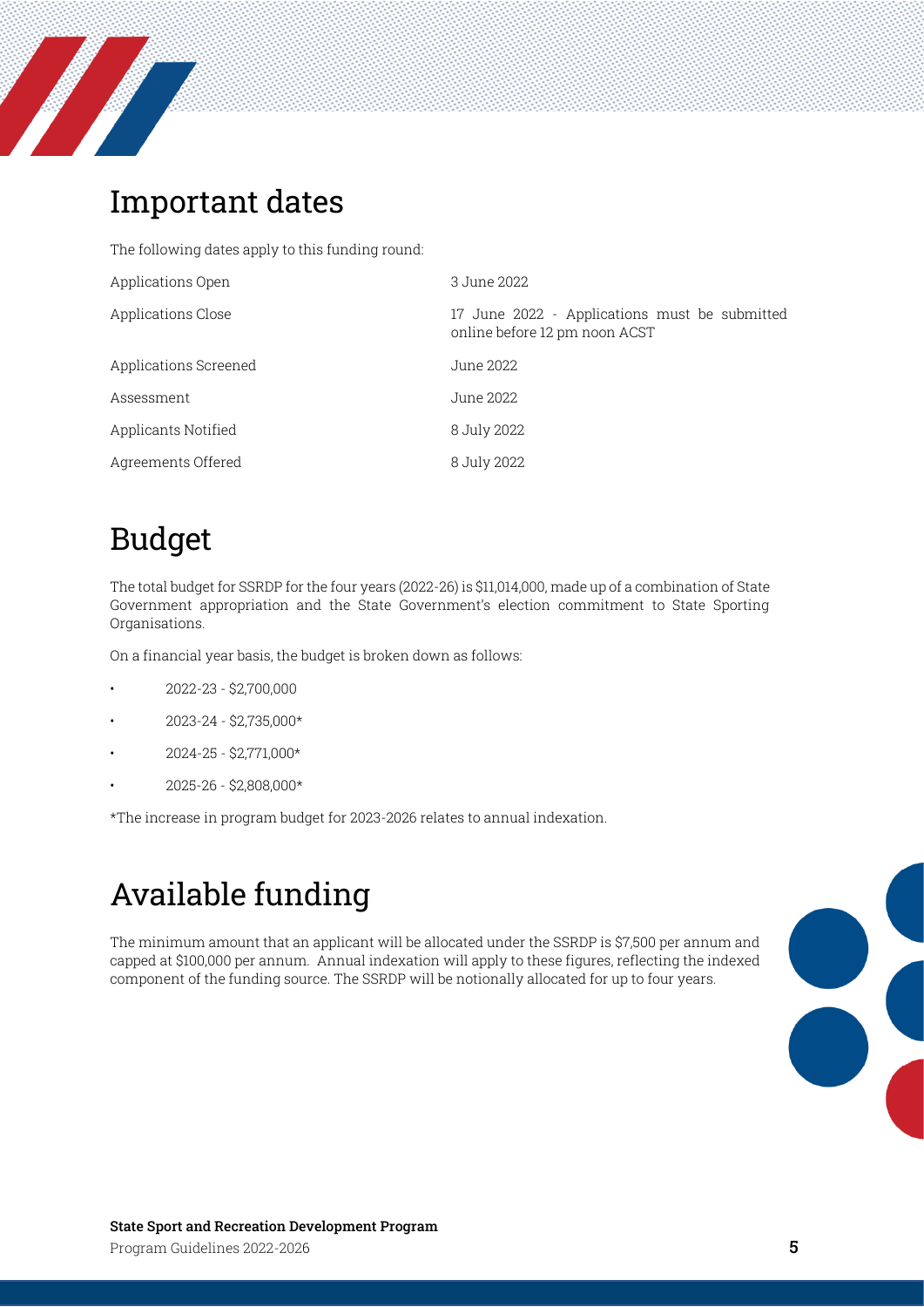

# <span id="page-4-0"></span>Important dates

The following dates apply to this funding round:

| Applications Open     | 3 June 2022                                                                    |
|-----------------------|--------------------------------------------------------------------------------|
| Applications Close    | 17 June 2022 - Applications must be submitted<br>online before 12 pm noon ACST |
| Applications Screened | June 2022                                                                      |
| Assessment            | June 2022                                                                      |
| Applicants Notified   | 8 July 2022                                                                    |
| Agreements Offered    | 8 July 2022                                                                    |

# <span id="page-4-1"></span>Budget

The total budget for SSRDP for the four years (2022-26) is \$11,014,000, made up of a combination of State Government appropriation and the State Government's election commitment to State Sporting Organisations.

On a financial year basis, the budget is broken down as follows:

- 2022-23 \$2,700,000
- 2023-24 \$2,735,000\*
- 2024-25 \$2,771,000\*
- 2025-26 \$2,808,000\*

\*The increase in program budget for 2023-2026 relates to annual indexation.

# <span id="page-4-2"></span>Available funding

The minimum amount that an applicant will be allocated under the SSRDP is \$7,500 per annum and capped at \$100,000 per annum. Annual indexation will apply to these figures, reflecting the indexed component of the funding source. The SSRDP will be notionally allocated for up to four years.

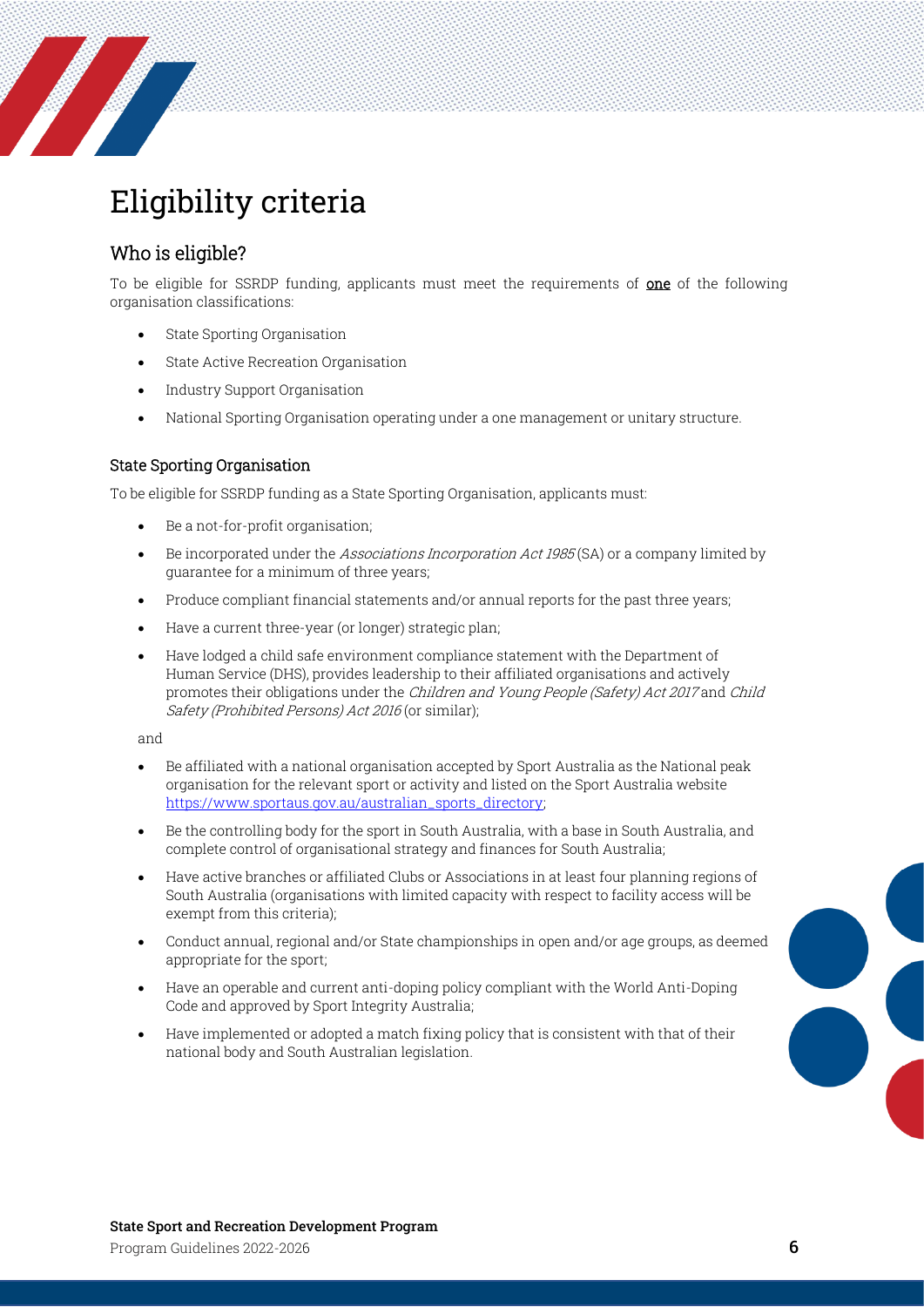

# <span id="page-5-0"></span>Eligibility criteria

### <span id="page-5-1"></span>Who is eligible?

To be eligible for SSRDP funding, applicants must meet the requirements of one of the following organisation classifications:

- State Sporting Organisation
- State Active Recreation Organisation
- Industry Support Organisation
- National Sporting Organisation operating under a one management or unitary structure.

#### State Sporting Organisation

To be eligible for SSRDP funding as a State Sporting Organisation, applicants must:

- Be a not-for-profit organisation;
- Be incorporated under the *Associations Incorporation Act 1985* (SA) or a company limited by guarantee for a minimum of three years;
- Produce compliant financial statements and/or annual reports for the past three years;
- Have a current three-year (or longer) strategic plan;
- Have lodged a child safe environment compliance statement with the Department of Human Service (DHS), provides leadership to their affiliated organisations and actively promotes their obligations under the Children and Young People (Safety) Act 2017 and Child Safety (Prohibited Persons) Act 2016 (or similar);

and

- Be affiliated with a national organisation accepted by Sport Australia as the National peak organisation for the relevant sport or activity and listed on the Sport Australia website [https://www.sportaus.gov.au/australian\\_sports\\_directory;](https://www.sportaus.gov.au/australian_sports_directory)
- Be the controlling body for the sport in South Australia, with a base in South Australia, and complete control of organisational strategy and finances for South Australia;
- Have active branches or affiliated Clubs or Associations in at least four planning regions of South Australia (organisations with limited capacity with respect to facility access will be exempt from this criteria);
- Conduct annual, regional and/or State championships in open and/or age groups, as deemed appropriate for the sport;
- Have an operable and current anti-doping policy compliant with the World Anti-Doping Code and approved by Sport Integrity Australia;
- Have implemented or adopted a match fixing policy that is consistent with that of their national body and South Australian legislation.

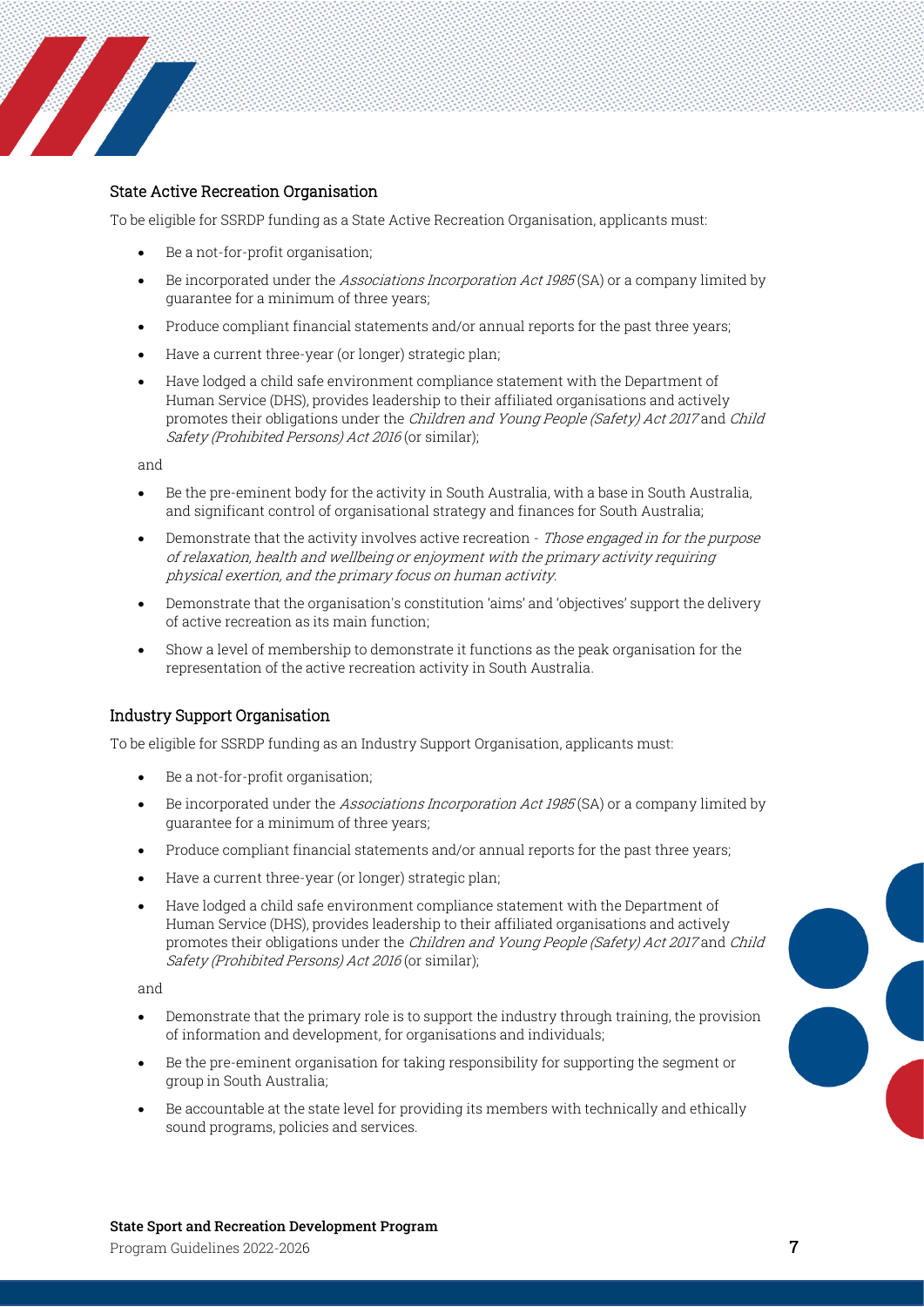

#### State Active Recreation Organisation

To be eligible for SSRDP funding as a State Active Recreation Organisation, applicants must:

- Be a not-for-profit organisation;
- Be incorporated under the Associations Incorporation Act 1985 (SA) or a company limited by guarantee for a minimum of three years;
- Produce compliant financial statements and/or annual reports for the past three years;
- Have a current three-year (or longer) strategic plan;
- Have lodged a child safe environment compliance statement with the Department of Human Service (DHS), provides leadership to their affiliated organisations and actively promotes their obligations under the Children and Young People (Safety) Act 2017 and Child Safety (Prohibited Persons) Act 2016 (or similar);

and

- Be the pre-eminent body for the activity in South Australia, with a base in South Australia, and significant control of organisational strategy and finances for South Australia;
- Demonstrate that the activity involves active recreation Those engaged in for the purpose of relaxation, health and wellbeing or enjoyment with the primary activity requiring physical exertion, and the primary focus on human activity.
- Demonstrate that the organisation's constitution 'aims' and 'objectives' support the delivery of active recreation as its main function;
- Show a level of membership to demonstrate it functions as the peak organisation for the representation of the active recreation activity in South Australia.

#### Industry Support Organisation

To be eligible for SSRDP funding as an Industry Support Organisation, applicants must:

- Be a not-for-profit organisation;
- Be incorporated under the Associations Incorporation Act 1985 (SA) or a company limited by guarantee for a minimum of three years;
- Produce compliant financial statements and/or annual reports for the past three years;
- Have a current three-year (or longer) strategic plan;
- Have lodged a child safe environment compliance statement with the Department of Human Service (DHS), provides leadership to their affiliated organisations and actively promotes their obligations under the Children and Young People (Safety) Act 2017 and Child Safety (Prohibited Persons) Act 2016 (or similar);

and

- Demonstrate that the primary role is to support the industry through training, the provision of information and development, for organisations and individuals;
- Be the pre-eminent organisation for taking responsibility for supporting the segment or group in South Australia;
- Be accountable at the state level for providing its members with technically and ethically sound programs, policies and services.



#### State Sport and Recreation Development Program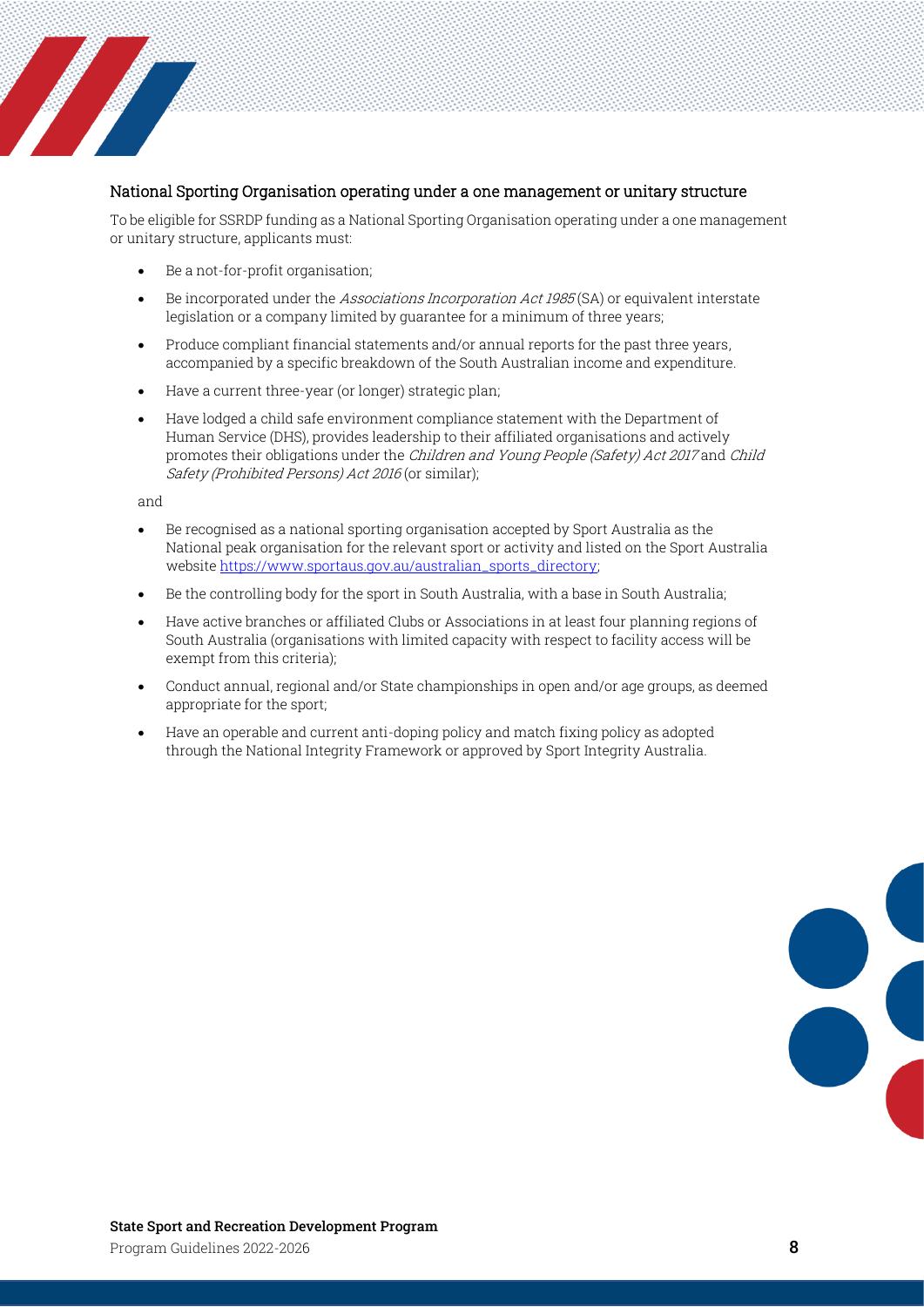

#### National Sporting Organisation operating under a one management or unitary structure

To be eligible for SSRDP funding as a National Sporting Organisation operating under a one management or unitary structure, applicants must:

- Be a not-for-profit organisation;
- Be incorporated under the Associations Incorporation Act 1985(SA) or equivalent interstate legislation or a company limited by guarantee for a minimum of three years;
- Produce compliant financial statements and/or annual reports for the past three years, accompanied by a specific breakdown of the South Australian income and expenditure.
- Have a current three-year (or longer) strategic plan;
- Have lodged a child safe environment compliance statement with the Department of Human Service (DHS), provides leadership to their affiliated organisations and actively promotes their obligations under the Children and Young People (Safety) Act 2017 and Child Safety (Prohibited Persons) Act 2016 (or similar);

and

- Be recognised as a national sporting organisation accepted by Sport Australia as the National peak organisation for the relevant sport or activity and listed on the Sport Australia websit[e https://www.sportaus.gov.au/australian\\_sports\\_directory;](https://www.sportaus.gov.au/australian_sports_directory)
- Be the controlling body for the sport in South Australia, with a base in South Australia;
- Have active branches or affiliated Clubs or Associations in at least four planning regions of South Australia (organisations with limited capacity with respect to facility access will be exempt from this criteria);
- Conduct annual, regional and/or State championships in open and/or age groups, as deemed appropriate for the sport;
- Have an operable and current anti-doping policy and match fixing policy as adopted through the National Integrity Framework or approved by Sport Integrity Australia.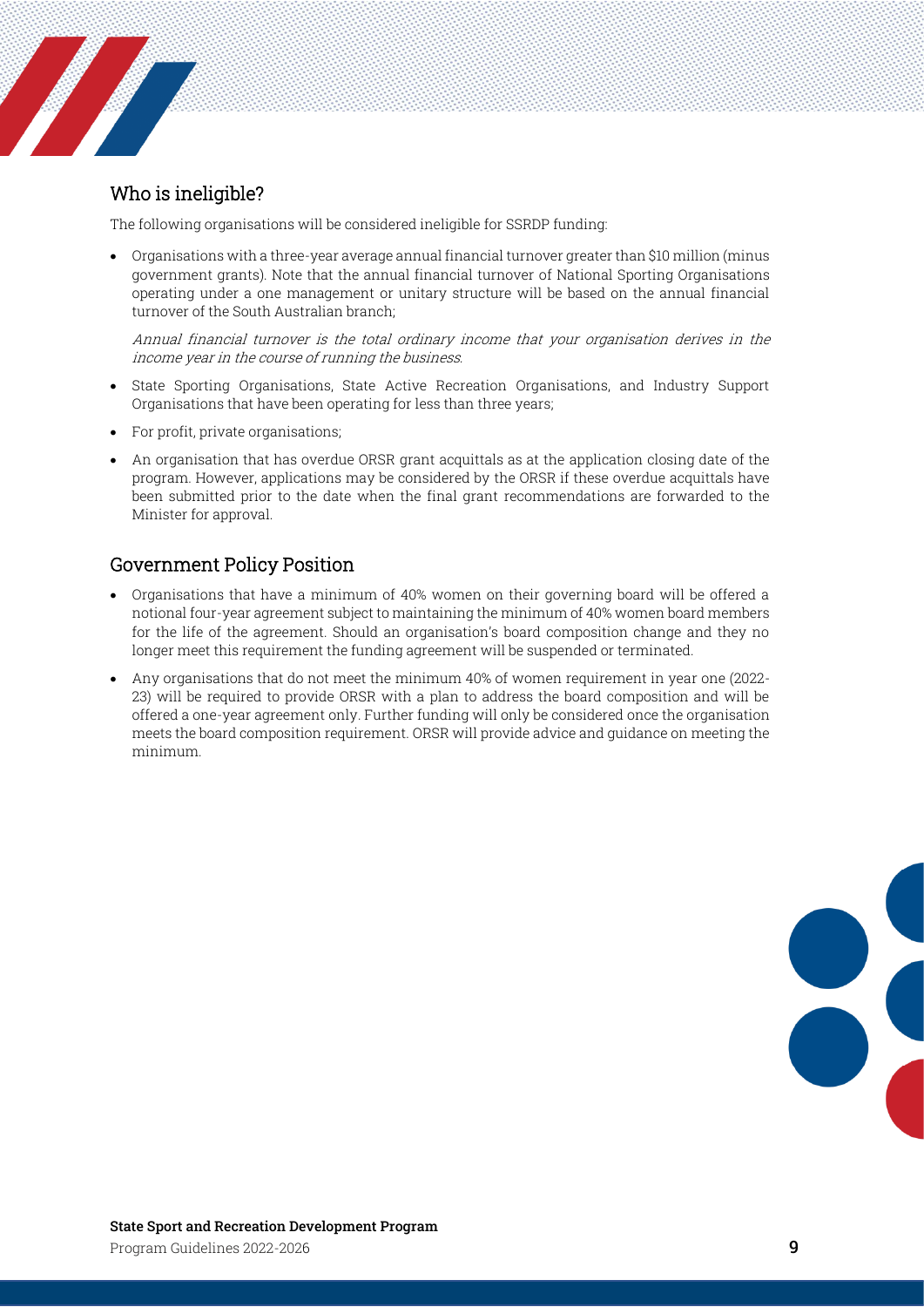### <span id="page-8-0"></span>Who is ineligible?

**Service Service Service** 

The following organisations will be considered ineligible for SSRDP funding:

• Organisations with a three-year average annual financial turnover greater than \$10 million (minus government grants). Note that the annual financial turnover of National Sporting Organisations operating under a one management or unitary structure will be based on the annual financial turnover of the South Australian branch;

Annual financial turnover is the total ordinary income that your organisation derives in the income year in the course of running the business.

- State Sporting Organisations, State Active Recreation Organisations, and Industry Support Organisations that have been operating for less than three years;
- For profit, private organisations;
- An organisation that has overdue ORSR grant acquittals as at the application closing date of the program. However, applications may be considered by the ORSR if these overdue acquittals have been submitted prior to the date when the final grant recommendations are forwarded to the Minister for approval.

#### <span id="page-8-1"></span>Government Policy Position

- Organisations that have a minimum of 40% women on their governing board will be offered a notional four-year agreement subject to maintaining the minimum of 40% women board members for the life of the agreement. Should an organisation's board composition change and they no longer meet this requirement the funding agreement will be suspended or terminated.
- Any organisations that do not meet the minimum 40% of women requirement in year one (2022- 23) will be required to provide ORSR with a plan to address the board composition and will be offered a one-year agreement only. Further funding will only be considered once the organisation meets the board composition requirement. ORSR will provide advice and guidance on meeting the minimum.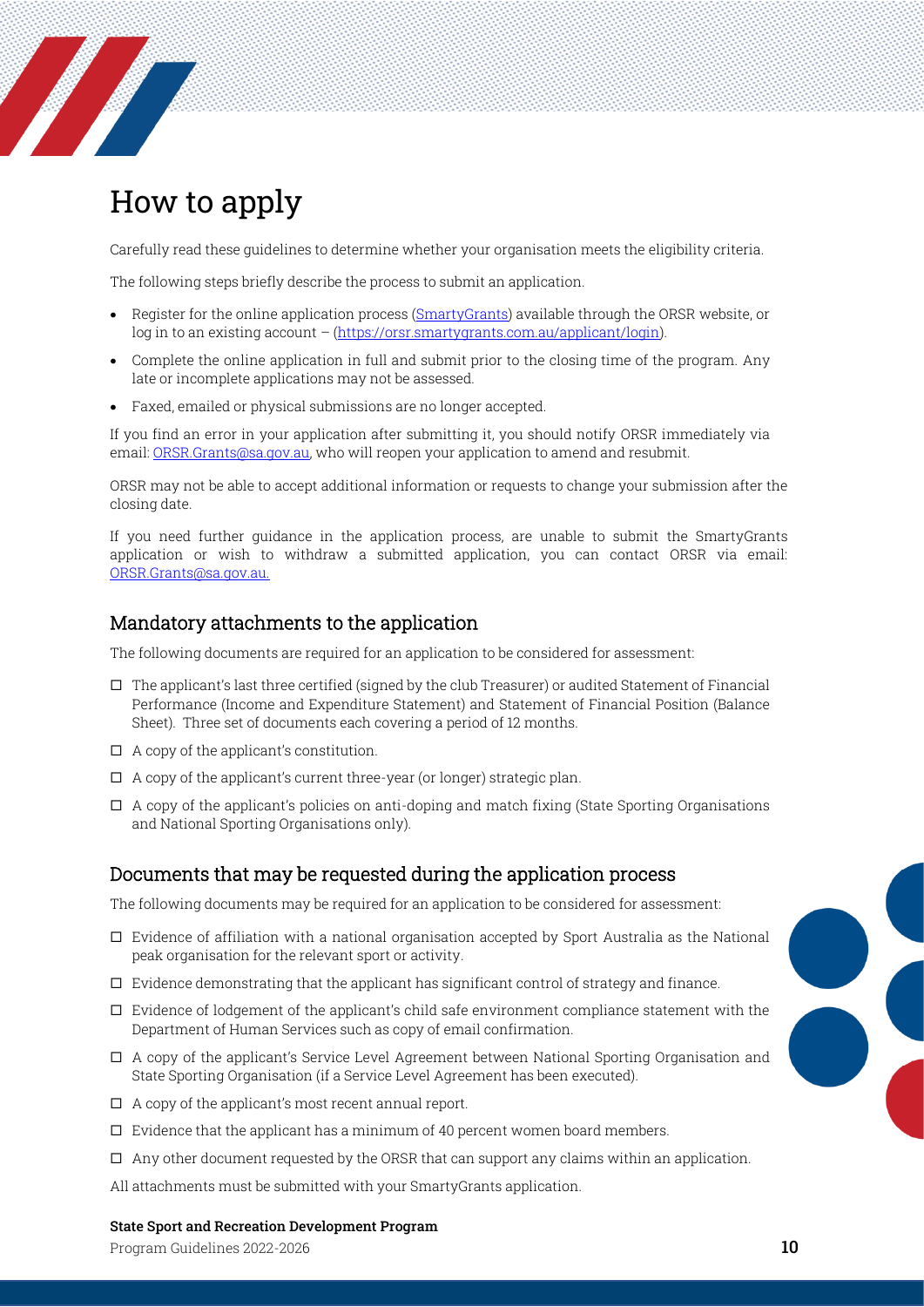<span id="page-9-0"></span>

**The Company of the Company of the Company of the Company of the Company of the Company of The Company of The Company of The Company of The Company of The Company of The Company of The Company of The Company of The Company** 

Carefully read these guidelines to determine whether your organisation meets the eligibility criteria.

The following steps briefly describe the process to submit an application.

- Register for the online application process [\(SmartyGrants\)](https://orsr.smartygrants.com.au/applicant/login) available through the ORSR website, or log in to an existing account – [\(https://orsr.smartygrants.com.au/applicant/login\)](https://orsr.smartygrants.com.au/applicant/login).
- Complete the online application in full and submit prior to the closing time of the program. Any late or incomplete applications may not be assessed.
- Faxed, emailed or physical submissions are no longer accepted.

If you find an error in your application after submitting it, you should notify ORSR immediately via email: [ORSR.Grants@sa.gov.au,](mailto:ORSR.Grants@sa.gov.au) who will reopen your application to amend and resubmit.

ORSR may not be able to accept additional information or requests to change your submission after the closing date.

If you need further guidance in the application process, are unable to submit the SmartyGrants application or wish to withdraw a submitted application, you can contact ORSR via email: [ORSR.Grants@sa.gov.au.](mailto:ORSR.Grants@sa.gov.au)

#### <span id="page-9-1"></span>Mandatory attachments to the application

The following documents are required for an application to be considered for assessment:

- $\Box$  The applicant's last three certified (signed by the club Treasurer) or audited Statement of Financial Performance (Income and Expenditure Statement) and Statement of Financial Position (Balance Sheet). Three set of documents each covering a period of 12 months.
- $\Box$  A copy of the applicant's constitution.
- $\Box$  A copy of the applicant's current three-year (or longer) strategic plan.
- $\Box$  A copy of the applicant's policies on anti-doping and match fixing (State Sporting Organisations and National Sporting Organisations only).

#### <span id="page-9-2"></span>Documents that may be requested during the application process

The following documents may be required for an application to be considered for assessment:

- $\Box$  Evidence of affiliation with a national organisation accepted by Sport Australia as the National peak organisation for the relevant sport or activity.
- $\Box$  Evidence demonstrating that the applicant has significant control of strategy and finance.
- $\square$  Evidence of lodgement of the applicant's child safe environment compliance statement with the Department of Human Services such as copy of email confirmation.
- $\Box$  A copy of the applicant's Service Level Agreement between National Sporting Organisation and State Sporting Organisation (if a Service Level Agreement has been executed).
- $\Box$  A copy of the applicant's most recent annual report.
- $\square$  Evidence that the applicant has a minimum of 40 percent women board members.
- $\Box$  Any other document requested by the ORSR that can support any claims within an application.

All attachments must be submitted with your SmartyGrants application.

#### State Sport and Recreation Development Program

Program Guidelines 2022-2026 10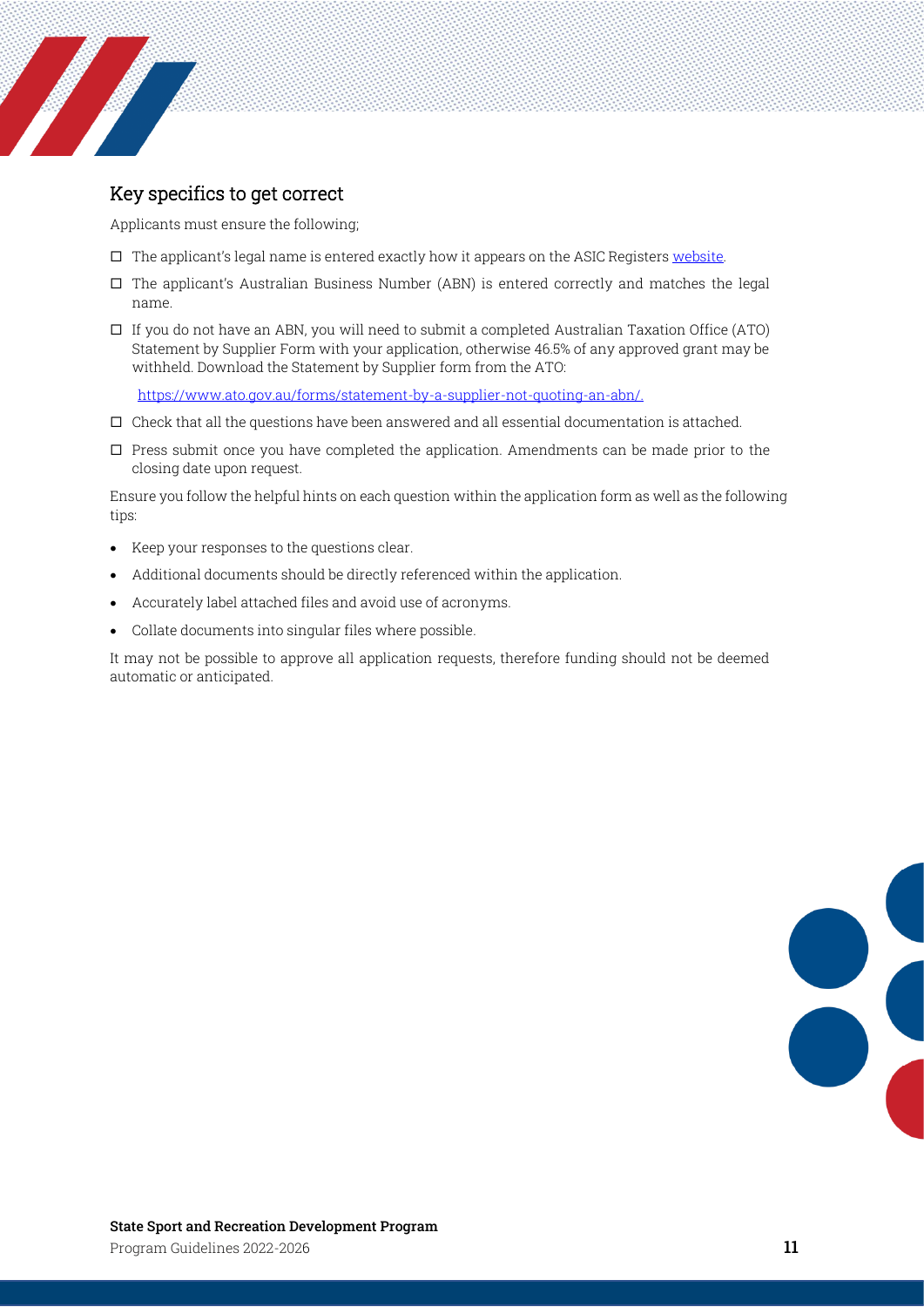

### <span id="page-10-0"></span>Key specifics to get correct

Applicants must ensure the following;

- $\Box$  The applicant's legal name is entered exactly how it appears on the ASIC Register[s website.](https://connectonline.asic.gov.au/RegistrySearch/faces/landing/SearchRegisters.jspx)
- $\Box$  The applicant's Australian Business Number (ABN) is entered correctly and matches the legal name.
- $\Box$  If you do not have an ABN, you will need to submit a completed Australian Taxation Office (ATO) Statement by Supplier Form with your application, otherwise 46.5% of any approved grant may be withheld. Download the Statement by Supplier form from the ATO:

[https://www.ato.gov.au/forms/statement-by-a-supplier-not-quoting-an-abn/.](https://www.ato.gov.au/forms/statement-by-a-supplier-not-quoting-an-abn/)

- $\square$  Check that all the questions have been answered and all essential documentation is attached.
- $\square$  Press submit once you have completed the application. Amendments can be made prior to the closing date upon request.

Ensure you follow the helpful hints on each question within the application form as well as the following tips:

- Keep your responses to the questions clear.
- Additional documents should be directly referenced within the application.
- Accurately label attached files and avoid use of acronyms.
- Collate documents into singular files where possible.

It may not be possible to approve all application requests, therefore funding should not be deemed automatic or anticipated.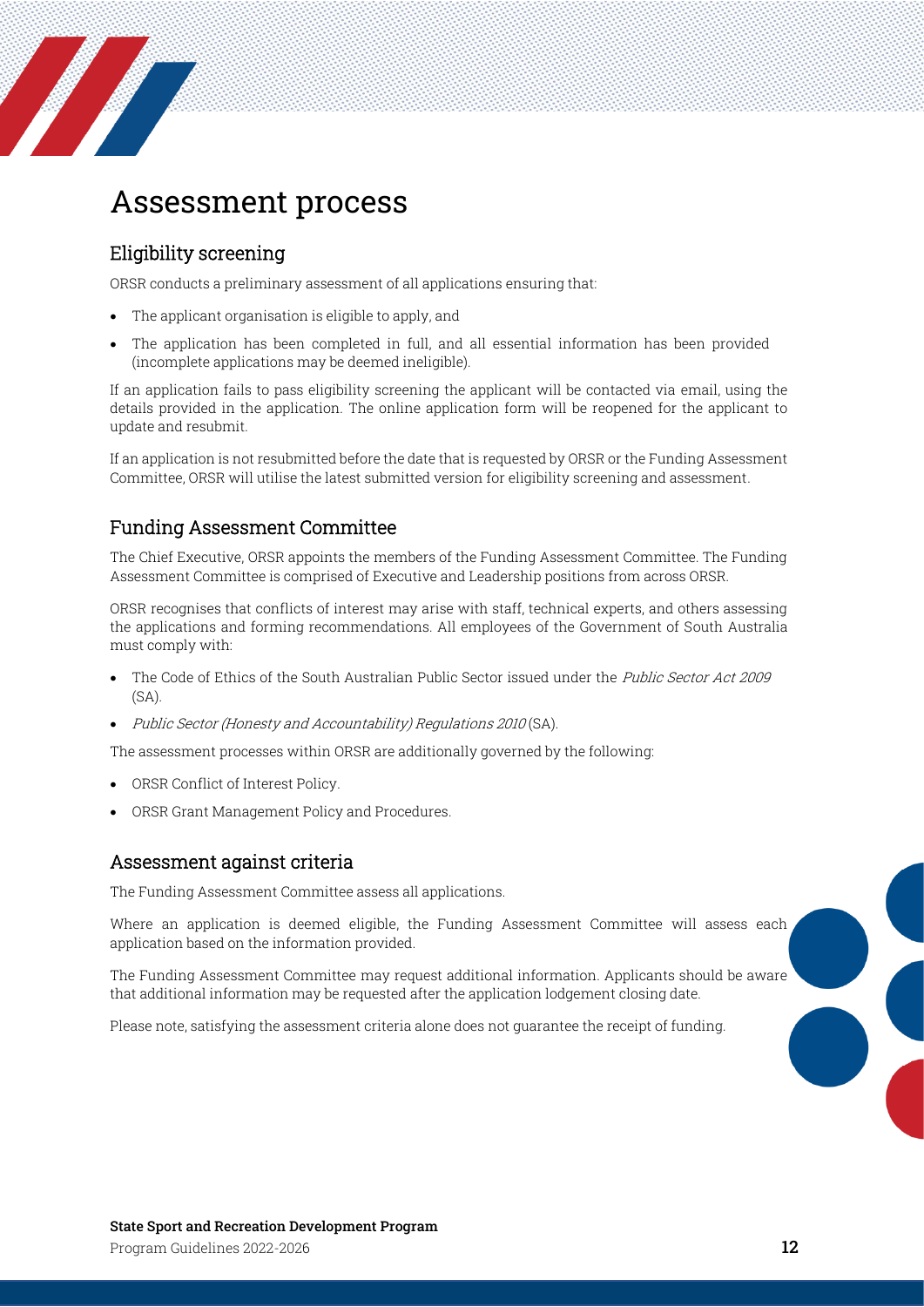<span id="page-11-0"></span>

#### <span id="page-11-1"></span>Eligibility screening

**Service Service Service Service Service** 

ORSR conducts a preliminary assessment of all applications ensuring that:

- The applicant organisation is eligible to apply, and
- The application has been completed in full, and all essential information has been provided (incomplete applications may be deemed ineligible).

If an application fails to pass eligibility screening the applicant will be contacted via email, using the details provided in the application. The online application form will be reopened for the applicant to update and resubmit.

If an application is not resubmitted before the date that is requested by ORSR or the Funding Assessment Committee, ORSR will utilise the latest submitted version for eligibility screening and assessment.

#### <span id="page-11-2"></span>Funding Assessment Committee

The Chief Executive, ORSR appoints the members of the Funding Assessment Committee. The Funding Assessment Committee is comprised of Executive and Leadership positions from across ORSR.

ORSR recognises that conflicts of interest may arise with staff, technical experts, and others assessing the applications and forming recommendations. All employees of the Government of South Australia must comply with:

- The Code of Ethics of the South Australian Public Sector issued under the Public Sector Act 2009 (SA).
- Public Sector (Honesty and Accountability) Regulations 2010 (SA).

The assessment processes within ORSR are additionally governed by the following:

- ORSR Conflict of Interest Policy.
- ORSR Grant Management Policy and Procedures.

#### <span id="page-11-3"></span>Assessment against criteria

The Funding Assessment Committee assess all applications.

Where an application is deemed eligible, the Funding Assessment Committee will assess each application based on the information provided.

The Funding Assessment Committee may request additional information. Applicants should be aware that additional information may be requested after the application lodgement closing date.

Please note, satisfying the assessment criteria alone does not guarantee the receipt of funding.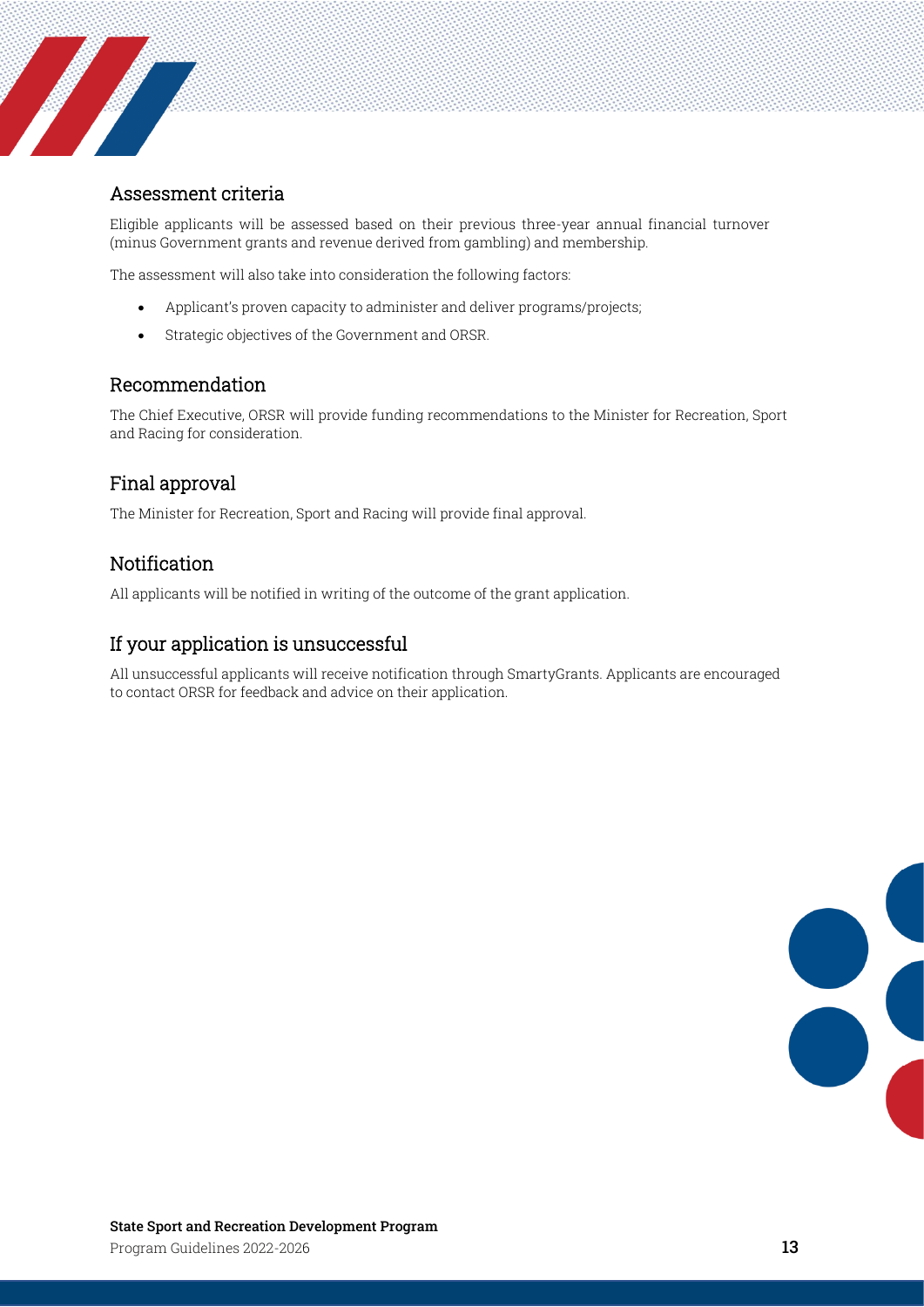### <span id="page-12-0"></span>Assessment criteria

**Sold Strategie Strategie Strategie Strategie Strategie Strategie Strategie Strategie Strategie Strategie Stra** 

Eligible applicants will be assessed based on their previous three-year annual financial turnover (minus Government grants and revenue derived from gambling) and membership.

The assessment will also take into consideration the following factors:

- Applicant's proven capacity to administer and deliver programs/projects;
- Strategic objectives of the Government and ORSR.

#### <span id="page-12-1"></span>Recommendation

The Chief Executive, ORSR will provide funding recommendations to the Minister for Recreation, Sport and Racing for consideration.

#### <span id="page-12-2"></span>Final approval

The Minister for Recreation, Sport and Racing will provide final approval.

#### <span id="page-12-3"></span>**Notification**

All applicants will be notified in writing of the outcome of the grant application.

### <span id="page-12-4"></span>If your application is unsuccessful

All unsuccessful applicants will receive notification through SmartyGrants. Applicants are encouraged to contact ORSR for feedback and advice on their application.

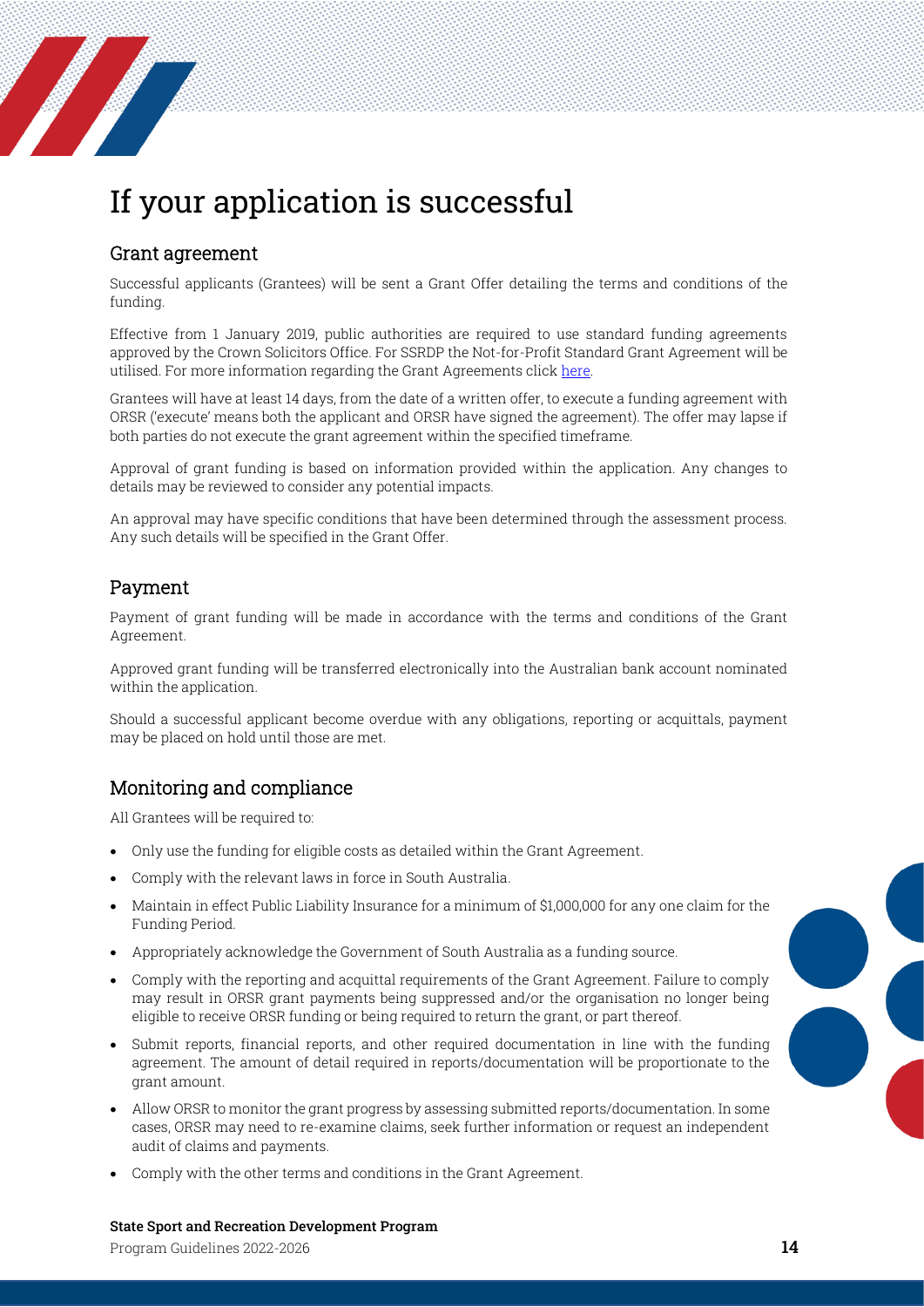# <span id="page-13-0"></span>If your application is successful

#### <span id="page-13-1"></span>Grant agreement

**The Company of the Company of the Company of the Company of the Company of the Company of the Company of the** 

Successful applicants (Grantees) will be sent a Grant Offer detailing the terms and conditions of the funding.

Effective from 1 January 2019, public authorities are required to use standard funding agreements approved by the Crown Solicitors Office. For SSRDP the Not-for-Profit Standard Grant Agreement will be utilised. For more information regarding the Grant Agreements clic[k here.](https://www.treasury.sa.gov.au/Our-services/not-for-profit-sector-funding-and-contracting)

Grantees will have at least 14 days, from the date of a written offer, to execute a funding agreement with ORSR ('execute' means both the applicant and ORSR have signed the agreement). The offer may lapse if both parties do not execute the grant agreement within the specified timeframe.

Approval of grant funding is based on information provided within the application. Any changes to details may be reviewed to consider any potential impacts.

An approval may have specific conditions that have been determined through the assessment process. Any such details will be specified in the Grant Offer.

### <span id="page-13-2"></span>Payment

Payment of grant funding will be made in accordance with the terms and conditions of the Grant Agreement.

Approved grant funding will be transferred electronically into the Australian bank account nominated within the application.

Should a successful applicant become overdue with any obligations, reporting or acquittals, payment may be placed on hold until those are met.

### <span id="page-13-3"></span>Monitoring and compliance

All Grantees will be required to:

- Only use the funding for eligible costs as detailed within the Grant Agreement.
- Comply with the relevant laws in force in South Australia.
- Maintain in effect Public Liability Insurance for a minimum of \$1,000,000 for any one claim for the Funding Period.
- Appropriately acknowledge the Government of South Australia as a funding source.
- Comply with the reporting and acquittal requirements of the Grant Agreement. Failure to comply may result in ORSR grant payments being suppressed and/or the organisation no longer being eligible to receive ORSR funding or being required to return the grant, or part thereof.
- Submit reports, financial reports, and other required documentation in line with the funding agreement. The amount of detail required in reports/documentation will be proportionate to the grant amount.
- Allow ORSR to monitor the grant progress by assessing submitted reports/documentation. In some cases, ORSR may need to re-examine claims, seek further information or request an independent audit of claims and payments.
- Comply with the other terms and conditions in the Grant Agreement.

#### State Sport and Recreation Development Program

Program Guidelines 2022-2026 **14**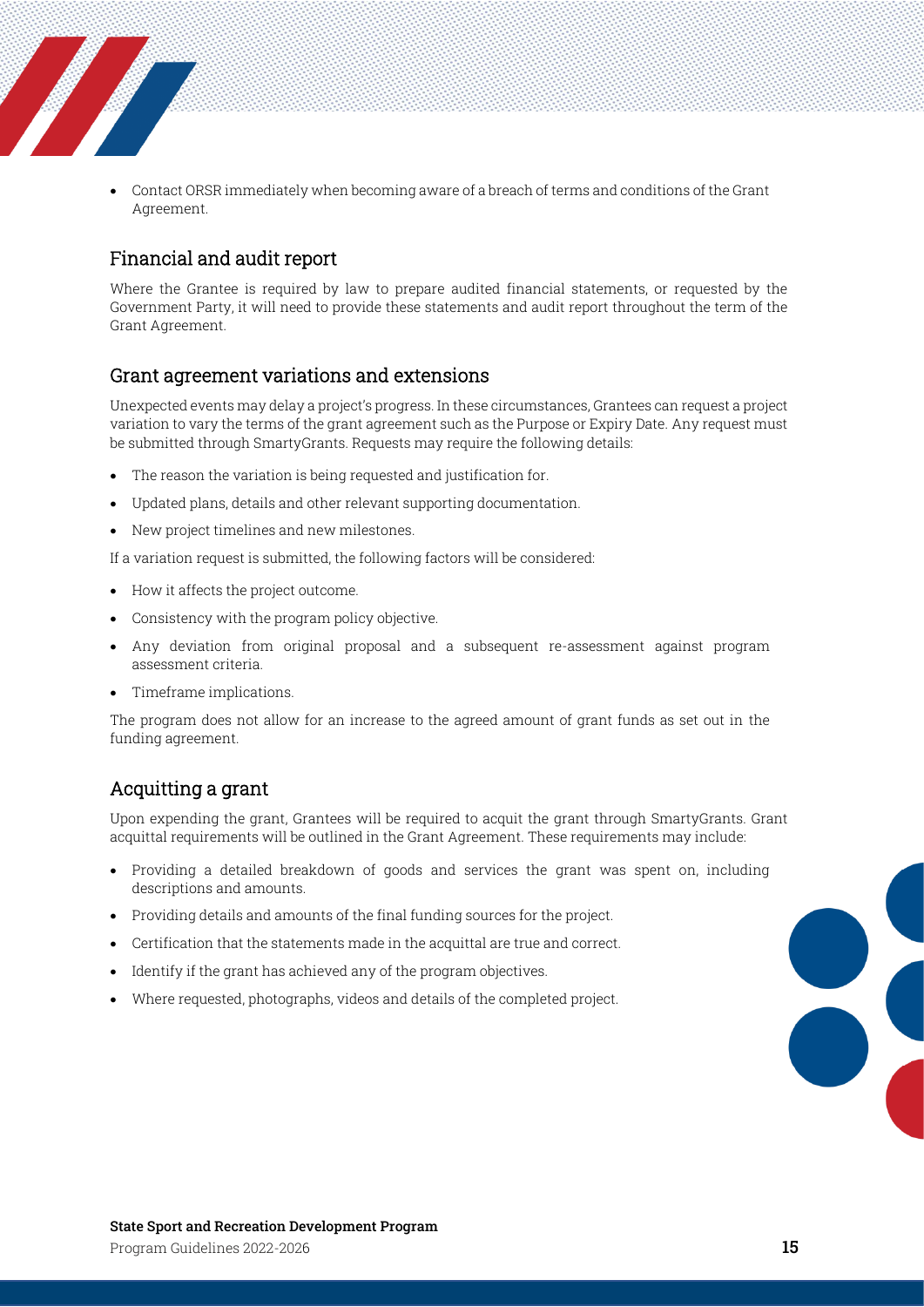• Contact ORSR immediately when becoming aware of a breach of terms and conditions of the Grant Agreement.

#### <span id="page-14-0"></span>Financial and audit report

**The Company of the Company of The Company of The Company of The Company of The Company of The Company of The Company of The Company of The Company of The Company of The Company of The Company of The Company of The Company** 

Where the Grantee is required by law to prepare audited financial statements, or requested by the Government Party, it will need to provide these statements and audit report throughout the term of the Grant Agreement.

#### <span id="page-14-1"></span>Grant agreement variations and extensions

Unexpected events may delay a project's progress. In these circumstances, Grantees can request a project variation to vary the terms of the grant agreement such as the Purpose or Expiry Date. Any request must be submitted through SmartyGrants. Requests may require the following details:

- The reason the variation is being requested and justification for.
- Updated plans, details and other relevant supporting documentation.
- New project timelines and new milestones.

If a variation request is submitted, the following factors will be considered:

- How it affects the project outcome.
- Consistency with the program policy objective.
- Any deviation from original proposal and a subsequent re-assessment against program assessment criteria.
- Timeframe implications.

The program does not allow for an increase to the agreed amount of grant funds as set out in the funding agreement.

#### <span id="page-14-2"></span>Acquitting a grant

Upon expending the grant, Grantees will be required to acquit the grant through SmartyGrants. Grant acquittal requirements will be outlined in the Grant Agreement. These requirements may include:

- Providing a detailed breakdown of goods and services the grant was spent on, including descriptions and amounts.
- Providing details and amounts of the final funding sources for the project.
- Certification that the statements made in the acquittal are true and correct.
- Identify if the grant has achieved any of the program objectives.
- <span id="page-14-3"></span>• Where requested, photographs, videos and details of the completed project.

8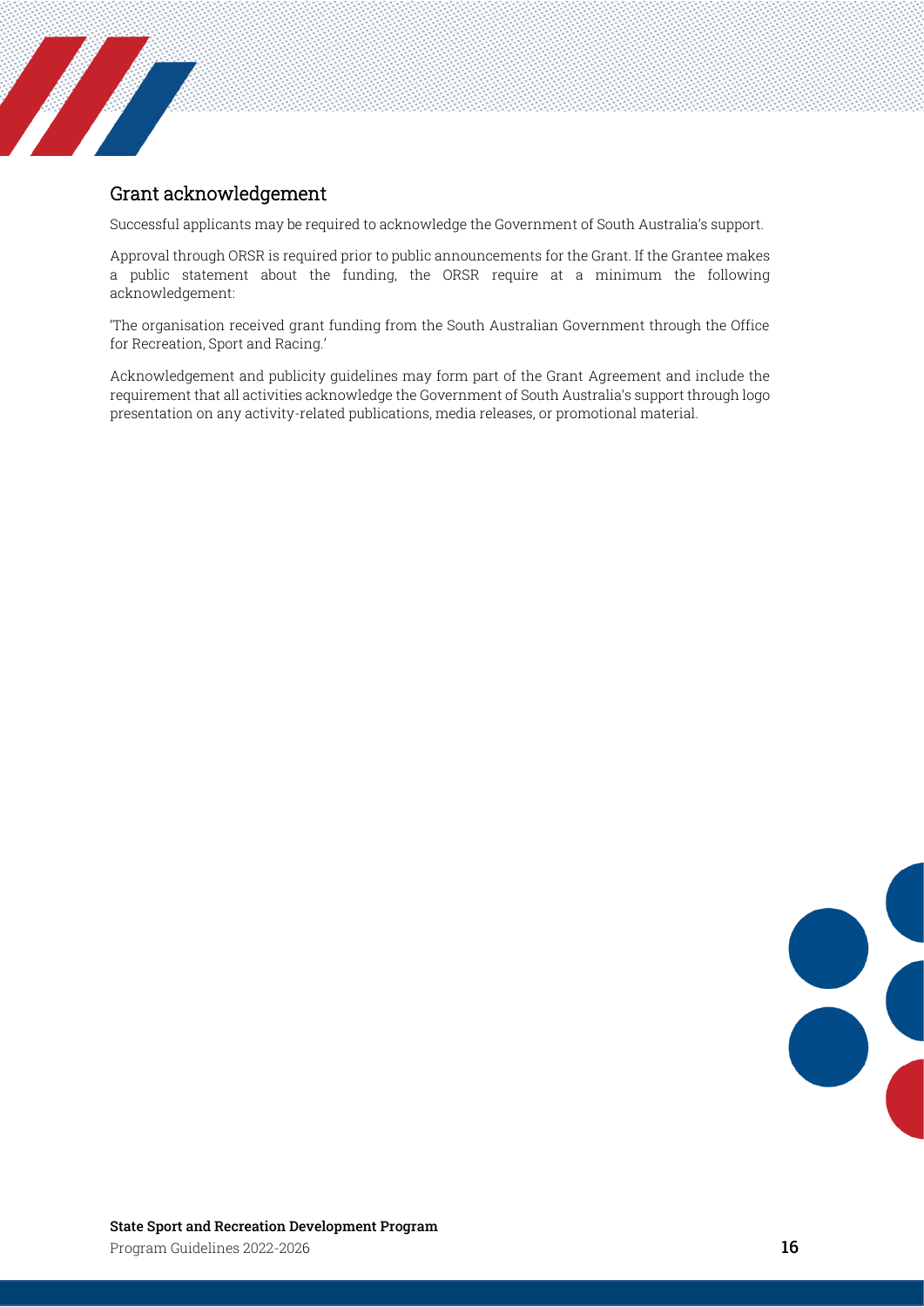### Grant acknowledgement

**Service Service Service** 

Successful applicants may be required to acknowledge the Government of South Australia's support.

Approval through ORSR is required prior to public announcements for the Grant. If the Grantee makes a public statement about the funding, the ORSR require at a minimum the following acknowledgement:

'The organisation received grant funding from the South Australian Government through the Office for Recreation, Sport and Racing.'

Acknowledgement and publicity guidelines may form part of the Grant Agreement and include the requirement that all activities acknowledge the Government of South Australia's support through logo presentation on any activity-related publications, media releases, or promotional material.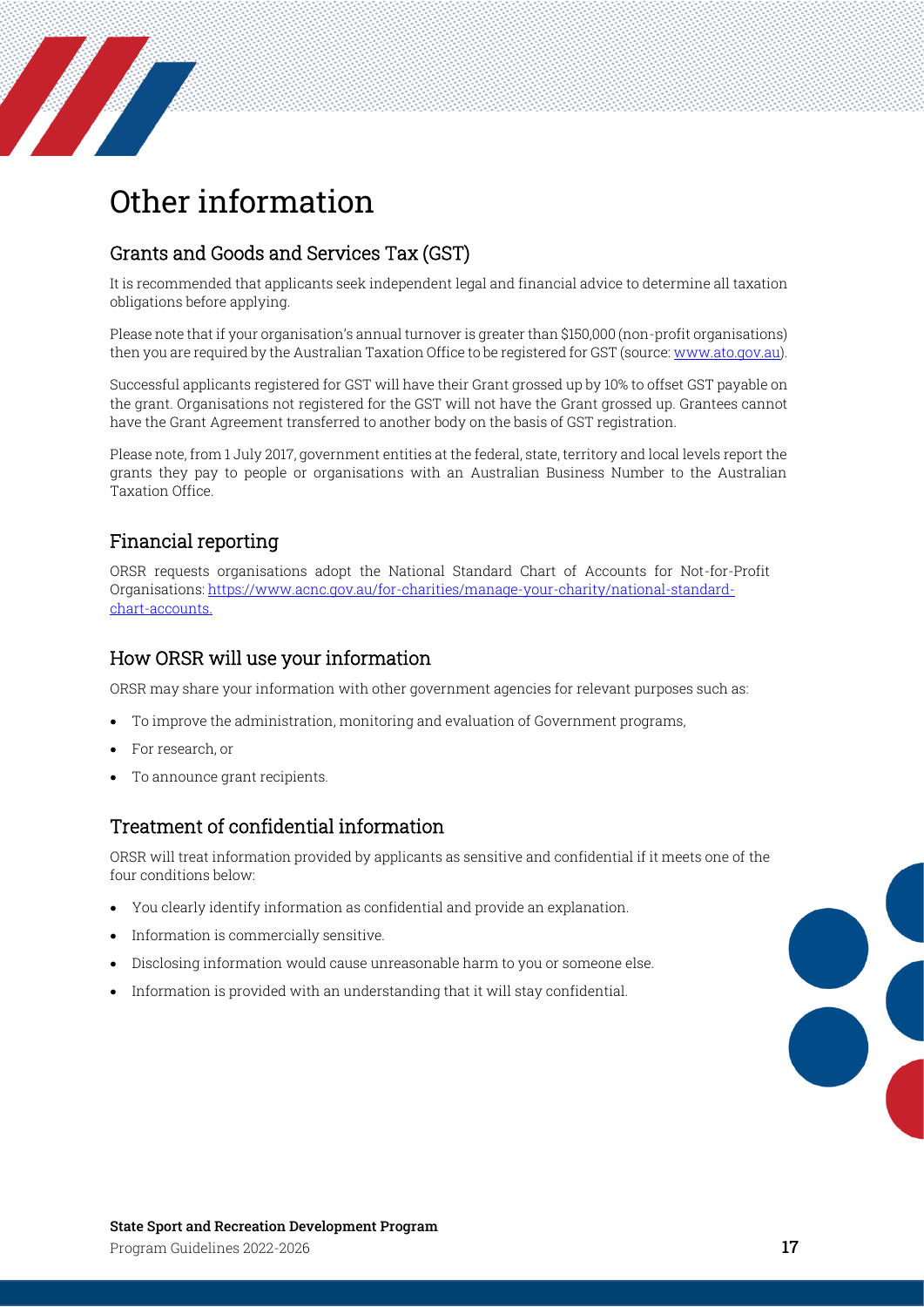

# <span id="page-16-0"></span>Other information

## <span id="page-16-1"></span>Grants and Goods and Services Tax (GST)

It is recommended that applicants seek independent legal and financial advice to determine all taxation obligations before applying.

Please note that if your organisation's annual turnover is greater than \$150,000 (non-profit organisations) then you are required by the Australian Taxation Office to be registered for GST (source[: www.ato.gov.au\)](http://www.ato.gov.au/).

Successful applicants registered for GST will have their Grant grossed up by 10% to offset GST payable on the grant. Organisations not registered for the GST will not have the Grant grossed up. Grantees cannot have the Grant Agreement transferred to another body on the basis of GST registration.

Please note, from 1 July 2017, government entities at the federal, state, territory and local levels report the grants they pay to people or organisations with an Australian Business Number to the Australian Taxation Office.

### <span id="page-16-2"></span>Financial reporting

ORSR requests organisations adopt the National Standard Chart of Accounts for Not-for-Profit Organisations: [https://www.acnc.gov.au/for-charities/manage-your-charity/national-standard](https://www.acnc.gov.au/for-charities/manage-your-charity/national-standard-chart-accounts)[chart-accounts.](https://www.acnc.gov.au/for-charities/manage-your-charity/national-standard-chart-accounts)

### <span id="page-16-3"></span>How ORSR will use your information

ORSR may share your information with other government agencies for relevant purposes such as:

- To improve the administration, monitoring and evaluation of Government programs,
- For research, or
- To announce grant recipients.

### <span id="page-16-4"></span>Treatment of confidential information

ORSR will treat information provided by applicants as sensitive and confidential if it meets one of the four conditions below:

- You clearly identify information as confidential and provide an explanation.
- Information is commercially sensitive.
- Disclosing information would cause unreasonable harm to you or someone else.
- Information is provided with an understanding that it will stay confidential.



8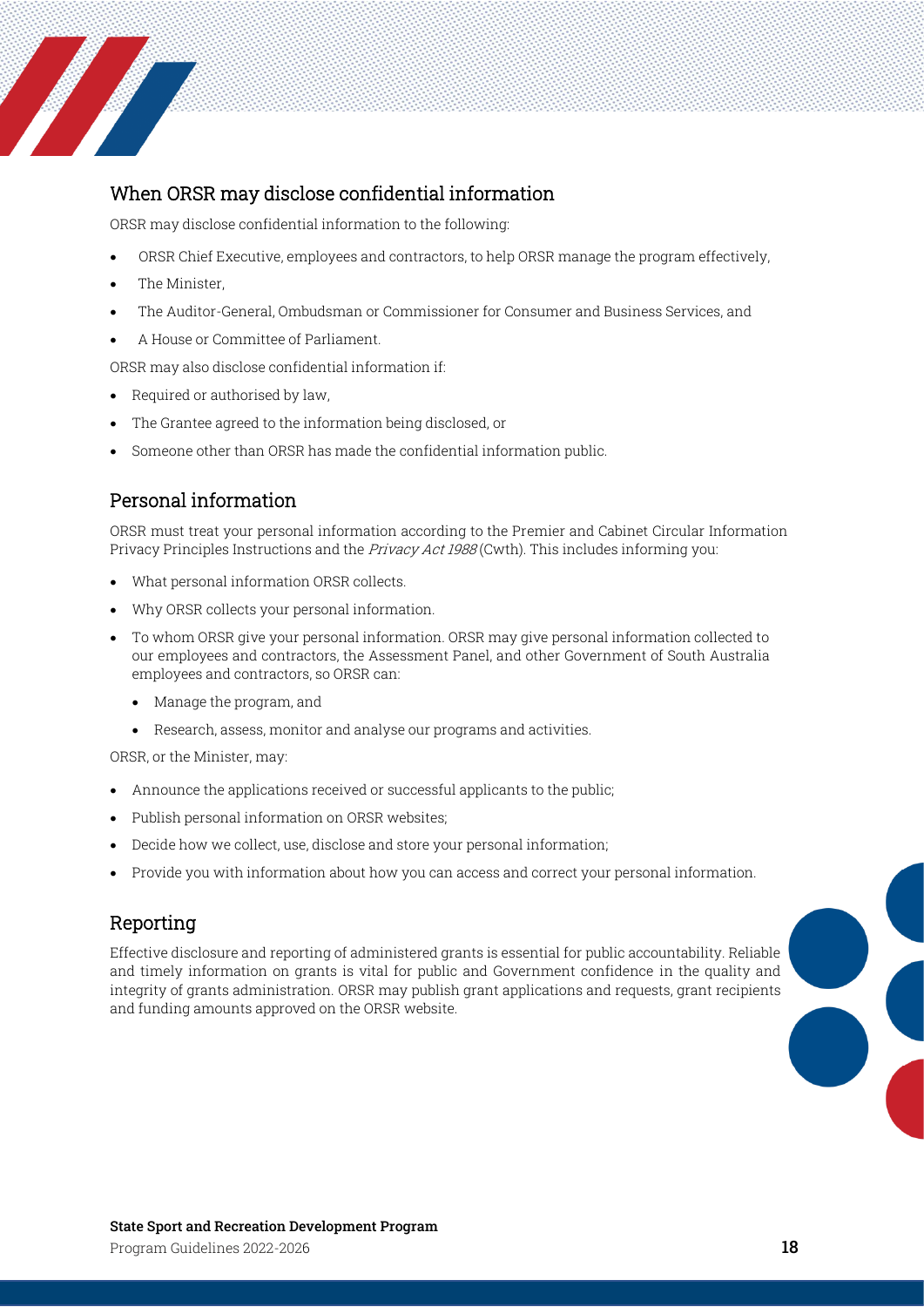

# <span id="page-17-0"></span>When ORSR may disclose confidential information

ORSR may disclose confidential information to the following:

- ORSR Chief Executive, employees and contractors, to help ORSR manage the program effectively,
- The Minister,
- The Auditor-General, Ombudsman or Commissioner for Consumer and Business Services, and
- A House or Committee of Parliament.

ORSR may also disclose confidential information if:

- Required or authorised by law,
- The Grantee agreed to the information being disclosed, or
- Someone other than ORSR has made the confidential information public.

# <span id="page-17-1"></span>Personal information

ORSR must treat your personal information according to the Premier and Cabinet Circular Information Privacy Principles Instructions and the *Privacy Act 1988* (Cwth). This includes informing you:

- What personal information ORSR collects.
- Why ORSR collects your personal information.
- To whom ORSR give your personal information. ORSR may give personal information collected to our employees and contractors, the Assessment Panel, and other Government of South Australia employees and contractors, so ORSR can:
	- Manage the program, and
	- Research, assess, monitor and analyse our programs and activities.

ORSR, or the Minister, may:

- Announce the applications received or successful applicants to the public;
- Publish personal information on ORSR websites;
- Decide how we collect, use, disclose and store your personal information;
- Provide you with information about how you can access and correct your personal information.

# <span id="page-17-2"></span>Reporting

Effective disclosure and reporting of administered grants is essential for public accountability. Reliable and timely information on grants is vital for public and Government confidence in the quality and integrity of grants administration. ORSR may publish grant applications and requests, grant recipients and funding amounts approved on the ORSR website.

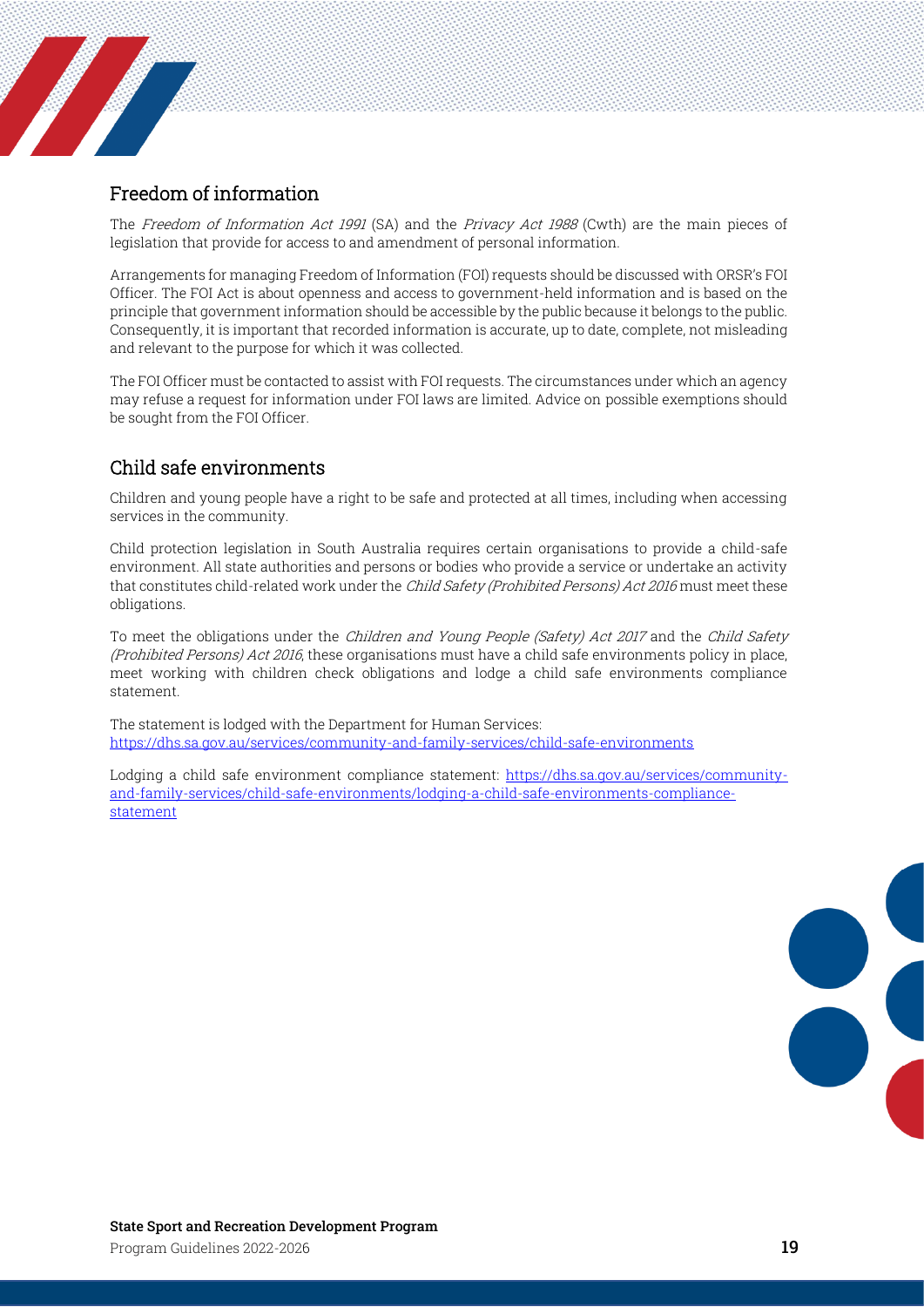### <span id="page-18-0"></span>Freedom of information

**Francisco de la Caracción de la Caracción de la Caracción de la Caracción de la Caracción de la Ca** 

The Freedom of Information Act 1991 (SA) and the Privacy Act 1988 (Cwth) are the main pieces of legislation that provide for access to and amendment of personal information.

Arrangements for managing Freedom of Information (FOI) requests should be discussed with ORSR's FOI Officer. The FOI Act is about openness and access to government-held information and is based on the principle that government information should be accessible by the public because it belongs to the public. Consequently, it is important that recorded information is accurate, up to date, complete, not misleading and relevant to the purpose for which it was collected.

The FOI Officer must be contacted to assist with FOI requests. The circumstances under which an agency may refuse a request for information under FOI laws are limited. Advice on possible exemptions should be sought from the FOI Officer.

### <span id="page-18-1"></span>Child safe environments

Children and young people have a right to be safe and protected at all times, including when accessing services in the community.

Child protection legislation in South Australia requires certain organisations to provide a child-safe environment. All state authorities and persons or bodies who provide a service or undertake an activity that constitutes child-related work under the *Child Safety (Prohibited Persons) Act 2016* must meet these obligations.

To meet the obligations under the *Children and Young People (Safety) Act 2017* and the *Child Safety* (Prohibited Persons) Act 2016, these organisations must have a child safe environments policy in place, meet working with children check obligations and lodge a child safe environments compliance statement.

The statement is lodged with the Department for Human Services: <https://dhs.sa.gov.au/services/community-and-family-services/child-safe-environments>

Lodging a child safe environment compliance statement: [https://dhs.sa.gov.au/services/community](https://dhs.sa.gov.au/services/community-and-family-services/child-safe-environments/lodging-a-child-safe-environments-compliance-statement)[and-family-services/child-safe-environments/lodging-a-child-safe-environments-compliance](https://dhs.sa.gov.au/services/community-and-family-services/child-safe-environments/lodging-a-child-safe-environments-compliance-statement)[statement](https://dhs.sa.gov.au/services/community-and-family-services/child-safe-environments/lodging-a-child-safe-environments-compliance-statement)

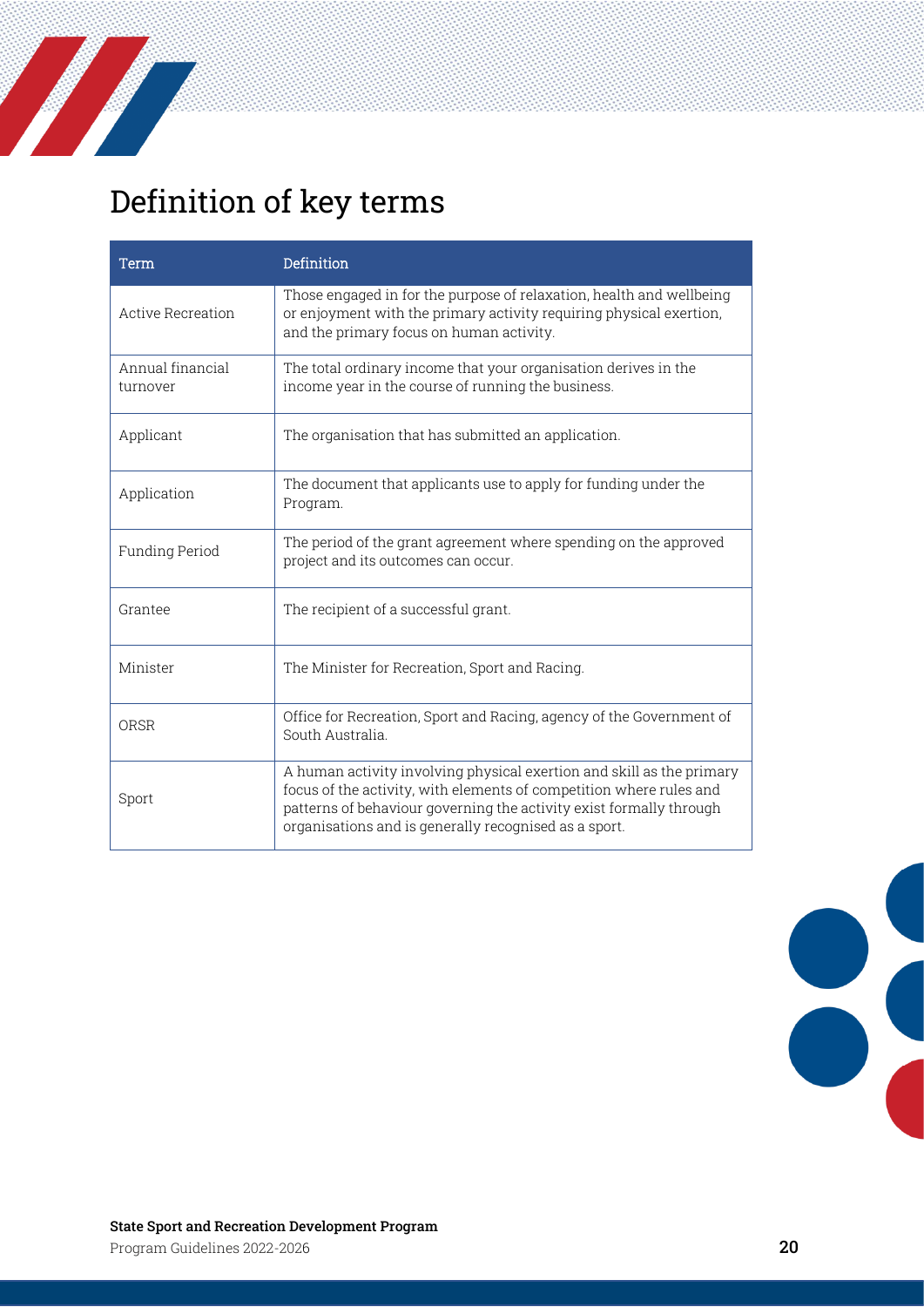

# <span id="page-19-0"></span>Definition of key terms

| Term                         | Definition                                                                                                                                                                                                                                                                   |
|------------------------------|------------------------------------------------------------------------------------------------------------------------------------------------------------------------------------------------------------------------------------------------------------------------------|
| Active Recreation            | Those engaged in for the purpose of relaxation, health and wellbeing<br>or enjoyment with the primary activity requiring physical exertion,<br>and the primary focus on human activity.                                                                                      |
| Annual financial<br>turnover | The total ordinary income that your organisation derives in the<br>income year in the course of running the business.                                                                                                                                                        |
| Applicant                    | The organisation that has submitted an application.                                                                                                                                                                                                                          |
| Application                  | The document that applicants use to apply for funding under the<br>Program.                                                                                                                                                                                                  |
| Funding Period               | The period of the grant agreement where spending on the approved<br>project and its outcomes can occur.                                                                                                                                                                      |
| Grantee                      | The recipient of a successful grant.                                                                                                                                                                                                                                         |
| Minister                     | The Minister for Recreation, Sport and Racing.                                                                                                                                                                                                                               |
| ORSR                         | Office for Recreation, Sport and Racing, agency of the Government of<br>South Australia.                                                                                                                                                                                     |
| Sport                        | A human activity involving physical exertion and skill as the primary<br>focus of the activity, with elements of competition where rules and<br>patterns of behaviour governing the activity exist formally through<br>organisations and is generally recognised as a sport. |